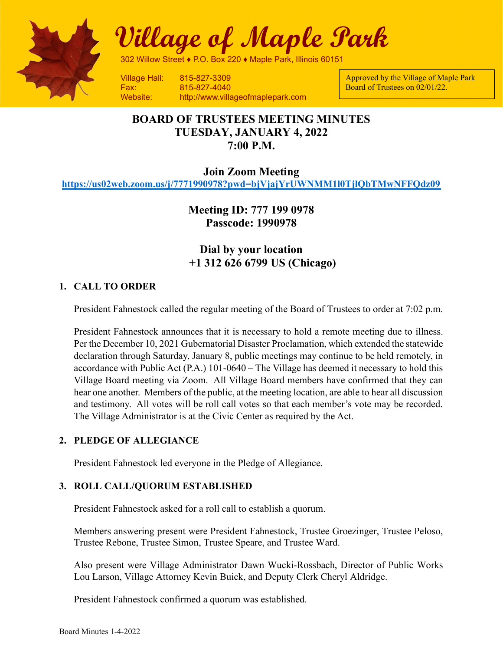

Village of Maple Park

302 Willow Street ♦ P.O. Box 220 ♦ Maple Park, Illinois 60151

Fax: 815-827-4040 Website: http://www.villageofmaplepark.com Approved by the Village of Maple Park Board of Trustees on 02/01/22.

# BOARD OF TRUSTEES MEETING MINUTES TUESDAY, JANUARY 4, 2022 7:00 P.M.

Join Zoom Meeting

https://us02web.zoom.us/j/7771990978?pwd=bjVjajYrUWNMM1l0TjlQbTMwNFFQdz09

Meeting ID: 777 199 0978 Passcode: 1990978

Dial by your location +1 312 626 6799 US (Chicago)

## 1. CALL TO ORDER

President Fahnestock called the regular meeting of the Board of Trustees to order at 7:02 p.m.

President Fahnestock announces that it is necessary to hold a remote meeting due to illness. Per the December 10, 2021 Gubernatorial Disaster Proclamation, which extended the statewide declaration through Saturday, January 8, public meetings may continue to be held remotely, in accordance with Public Act (P.A.) 101-0640 – The Village has deemed it necessary to hold this Village Board meeting via Zoom. All Village Board members have confirmed that they can hear one another. Members of the public, at the meeting location, are able to hear all discussion and testimony. All votes will be roll call votes so that each member's vote may be recorded. The Village Administrator is at the Civic Center as required by the Act.

## 2. PLEDGE OF ALLEGIANCE

President Fahnestock led everyone in the Pledge of Allegiance.

## 3. ROLL CALL/QUORUM ESTABLISHED

President Fahnestock asked for a roll call to establish a quorum.

Members answering present were President Fahnestock, Trustee Groezinger, Trustee Peloso, Trustee Rebone, Trustee Simon, Trustee Speare, and Trustee Ward.

Also present were Village Administrator Dawn Wucki-Rossbach, Director of Public Works Lou Larson, Village Attorney Kevin Buick, and Deputy Clerk Cheryl Aldridge.

President Fahnestock confirmed a quorum was established.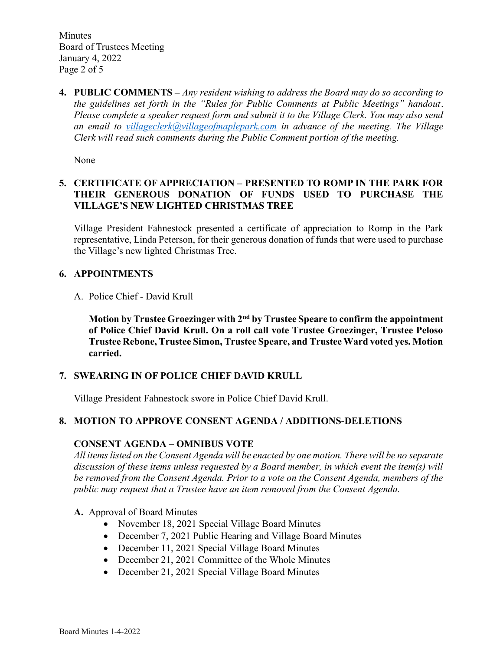Minutes Board of Trustees Meeting January 4, 2022 Page 2 of 5

4. PUBLIC COMMENTS – Any resident wishing to address the Board may do so according to the guidelines set forth in the "Rules for Public Comments at Public Meetings" handout. Please complete a speaker request form and submit it to the Village Clerk. You may also send an email to villageclerk@villageofmaplepark.com in advance of the meeting. The Village Clerk will read such comments during the Public Comment portion of the meeting.

None

## 5. CERTIFICATE OF APPRECIATION – PRESENTED TO ROMP IN THE PARK FOR THEIR GENEROUS DONATION OF FUNDS USED TO PURCHASE THE VILLAGE'S NEW LIGHTED CHRISTMAS TREE

Village President Fahnestock presented a certificate of appreciation to Romp in the Park representative, Linda Peterson, for their generous donation of funds that were used to purchase the Village's new lighted Christmas Tree.

## 6. APPOINTMENTS

A. Police Chief - David Krull

Motion by Trustee Groezinger with 2<sup>nd</sup> by Trustee Speare to confirm the appointment of Police Chief David Krull. On a roll call vote Trustee Groezinger, Trustee Peloso Trustee Rebone, Trustee Simon, Trustee Speare, and Trustee Ward voted yes. Motion carried.

## 7. SWEARING IN OF POLICE CHIEF DAVID KRULL

Village President Fahnestock swore in Police Chief David Krull.

## 8. MOTION TO APPROVE CONSENT AGENDA / ADDITIONS-DELETIONS

## CONSENT AGENDA – OMNIBUS VOTE

All items listed on the Consent Agenda will be enacted by one motion. There will be no separate discussion of these items unless requested by a Board member, in which event the item(s) will be removed from the Consent Agenda. Prior to a vote on the Consent Agenda, members of the public may request that a Trustee have an item removed from the Consent Agenda.

A. Approval of Board Minutes

- November 18, 2021 Special Village Board Minutes
- December 7, 2021 Public Hearing and Village Board Minutes
- December 11, 2021 Special Village Board Minutes
- December 21, 2021 Committee of the Whole Minutes
- December 21, 2021 Special Village Board Minutes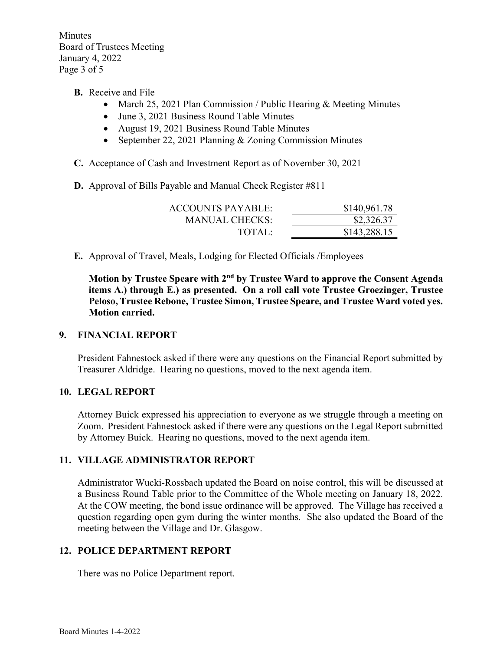Minutes Board of Trustees Meeting January 4, 2022 Page 3 of 5

- B. Receive and File
	- March 25, 2021 Plan Commission / Public Hearing & Meeting Minutes
	- June 3, 2021 Business Round Table Minutes
	- August 19, 2021 Business Round Table Minutes
	- September 22, 2021 Planning & Zoning Commission Minutes
- C. Acceptance of Cash and Investment Report as of November 30, 2021
- D. Approval of Bills Payable and Manual Check Register #811

| ACCOUNTS PAYABLE: | \$140,961.78 |
|-------------------|--------------|
| MANUAL CHECKS:    | \$2,326.37   |
| TOTAI:            | \$143,288.15 |

E. Approval of Travel, Meals, Lodging for Elected Officials /Employees

Motion by Trustee Speare with  $2<sup>nd</sup>$  by Trustee Ward to approve the Consent Agenda items A.) through E.) as presented. On a roll call vote Trustee Groezinger, Trustee Peloso, Trustee Rebone, Trustee Simon, Trustee Speare, and Trustee Ward voted yes. Motion carried.

#### 9. FINANCIAL REPORT

President Fahnestock asked if there were any questions on the Financial Report submitted by Treasurer Aldridge. Hearing no questions, moved to the next agenda item.

#### 10. LEGAL REPORT

Attorney Buick expressed his appreciation to everyone as we struggle through a meeting on Zoom. President Fahnestock asked if there were any questions on the Legal Report submitted by Attorney Buick. Hearing no questions, moved to the next agenda item.

#### 11. VILLAGE ADMINISTRATOR REPORT

Administrator Wucki-Rossbach updated the Board on noise control, this will be discussed at a Business Round Table prior to the Committee of the Whole meeting on January 18, 2022. At the COW meeting, the bond issue ordinance will be approved. The Village has received a question regarding open gym during the winter months. She also updated the Board of the meeting between the Village and Dr. Glasgow.

## 12. POLICE DEPARTMENT REPORT

There was no Police Department report.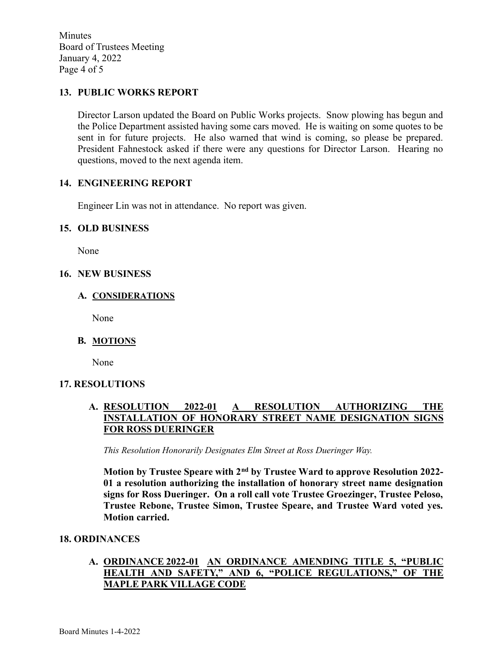Minutes Board of Trustees Meeting January 4, 2022 Page 4 of 5

### 13. PUBLIC WORKS REPORT

Director Larson updated the Board on Public Works projects. Snow plowing has begun and the Police Department assisted having some cars moved. He is waiting on some quotes to be sent in for future projects. He also warned that wind is coming, so please be prepared. President Fahnestock asked if there were any questions for Director Larson. Hearing no questions, moved to the next agenda item.

### 14. ENGINEERING REPORT

Engineer Lin was not in attendance. No report was given.

#### 15. OLD BUSINESS

None

#### 16. NEW BUSINESS

#### A. CONSIDERATIONS

None

#### B. MOTIONS

None

#### 17. RESOLUTIONS

### A. RESOLUTION 2022-01 A RESOLUTION AUTHORIZING THE INSTALLATION OF HONORARY STREET NAME DESIGNATION SIGNS FOR ROSS DUERINGER

This Resolution Honorarily Designates Elm Street at Ross Dueringer Way.

Motion by Trustee Speare with 2<sup>nd</sup> by Trustee Ward to approve Resolution 2022-01 a resolution authorizing the installation of honorary street name designation signs for Ross Dueringer. On a roll call vote Trustee Groezinger, Trustee Peloso, Trustee Rebone, Trustee Simon, Trustee Speare, and Trustee Ward voted yes. Motion carried.

#### 18. ORDINANCES

## A. ORDINANCE 2022-01 AN ORDINANCE AMENDING TITLE 5, "PUBLIC HEALTH AND SAFETY," AND 6, "POLICE REGULATIONS," OF THE MAPLE PARK VILLAGE CODE